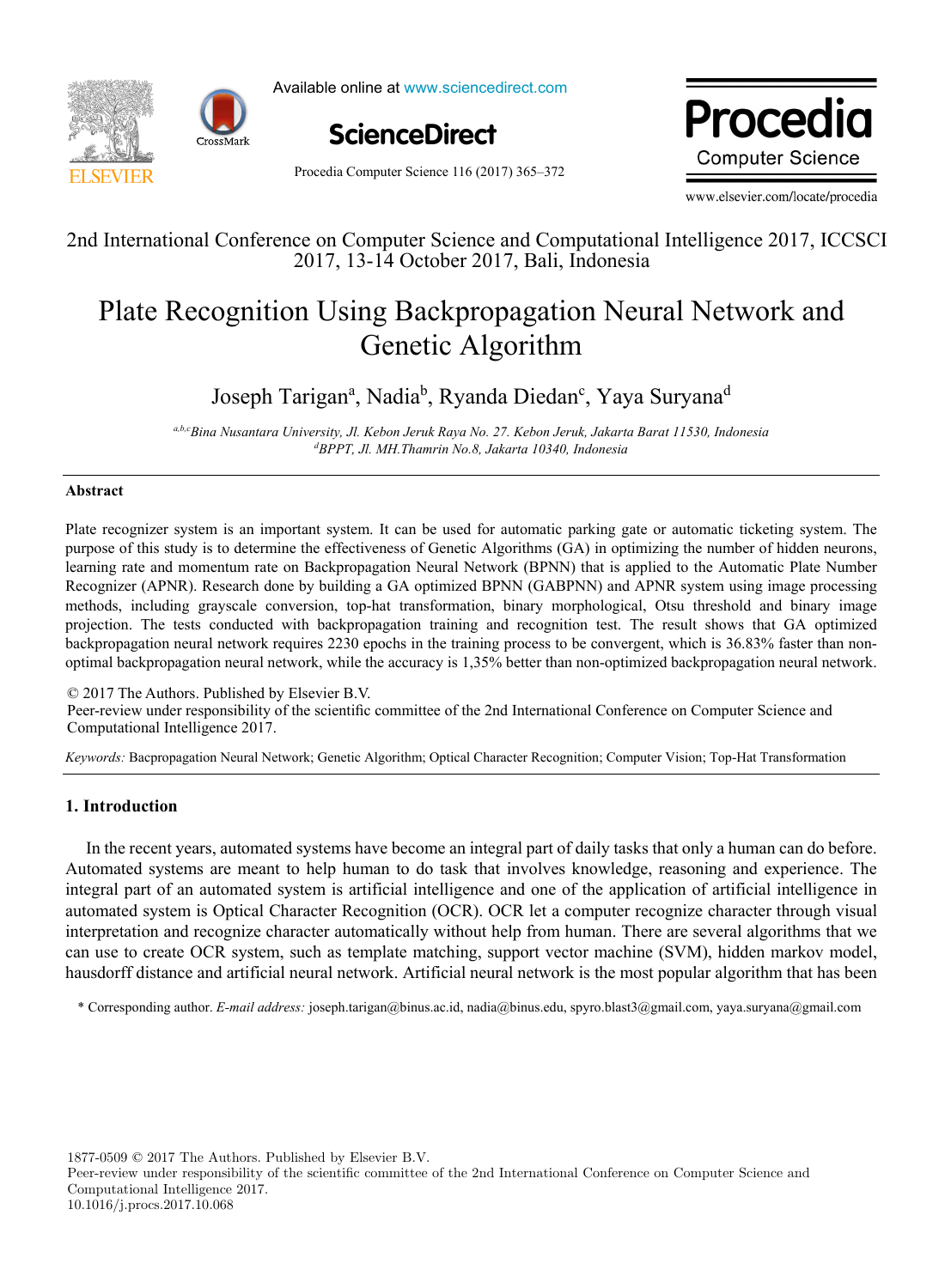

Available online at www.sciencedirect.com



Procedia Computer Science 116 (2017) 365–372

Due ee die rivuediu **Computer Science** 

www.elsevier.com/locate/procedia

## 2nd International Conference on Computer Science and Computational Intelligence 2017, ICCSCI 2nd International Conference on Computer Science and Computational Intelligence 2017, ICCSCI 2017, 13-14 October 2017, Bali, Indonesia

## Plate Recognition Using Backpropagation Neural Network and ng Dackpropaganor Plate Recognition Using Backpropagation Neural Network and Genetic Algorithm

# Joseph Tarigana , Nadiab , Ryanda Diedanc , Yaya Suryanad Joseph Tarigan<sup>a</sup>, Nadia<sup>b</sup>, Ryanda Diedan<sup>c</sup>, Yaya Suryana<sup>d</sup>

ab.cBina Nusantara University, Jl. Kebon Jeruk Raya No. 27. Kebon Jeruk, Jakarta Barat 11530, Indonesia *BPPT, Jl. MH.Thamrin No.8, Jakarta 10340, Indonesia* 

## **Abstract Abstract**

Plate recognizer system is an important system. It can be used for automatic parking gate or automatic ticketing system. The purpose of this study is to determine the effectiveness of Genetic Algorithms (GA) in optimizing the number of hidden neurons, learning rate and momentum rate on Backpropagation Neural Network (BPNN) that is applied to the Automatic Plate Number Recognizer (APNR). Research done by building a GA optimized BPNN (GABPNN) and APNR system using image processing methods, including grayscale conversion, top-hat transformation, binary morphological, Otsu threshold and binary image projection. The tests conducted with backpropagation training and recognition test. The result shows that GA optimized backpropagation neural network requires 2230 epochs in the training process to be convergent, which is 36.83% faster than nonlearning rate and momentum rate on Backpropagation Neural Network (BPNN) that is applied to the Automatic Plate Number<br>Recognizer (APNR). Research done by building a GA optimized BPNN (GABPNN) and APNR system using image p optimal backpropagation neural network, while the accuracy is 1,35% better than non-optimized backpropagation neural network.

© 2017 The Authors. Published by Elsevier B.V. © 2017 The Authors. Published by Elsevier B.V. e 2017 The Additions. I donsited by Eisevier B.V.<br>Peer-review under responsibility of the scientific committee of the 2nd International Conference on Computer Science and Computational Intelligence 2017. Computational Intelligence 2017. Peer-review under responsibility of the scientific committee of the 2nd International Conference on Computer Science and<br>Commutational Intelligence 2017 Computational Intelligence 2017.

*Keywords:* Bacpropagation Neural Network; Genetic Algorithm; Optical Character Recognition; Computer Vision; Top-Hat Transformation *Keywords:* Bacpropagation Neural Network; Genetic Algorithm; Optical Character Recognition; Computer Vision; Top-Hat Transformation

## **1. Introduction**

In the recent years, automated systems have become an integral part of daily tasks that only a human can do before. Automated systems are meant to help human to do task that involves knowledge, reasoning and experience. The integral part of an automated system is artificial intelligence and one of the application of artificial intelligence in automated system is Optical Character Recognition (OCR). OCR let a computer recognize character through visual interpretation and recognize character automatically without help from human. There are several algorithms that we can use to create OCR system, such as template matching, support vector machine (SVM), hidden markov model, hausdorff distance and artificial neural network. Artificial neural network is the most popular algorithm that has been

\* Corresponding author. *E-mail address:* joseph.tarigan@binus.ac.id, nadia@binus.edu, spyro.blast3@gmail.com, yaya.suryana@gmail.com

1877-0509 © 2017 The Authors. Published by Elsevier B.V.

Peer-review under responsibility of the scientific committee of the 2nd International Conference on Computer Science and Computational Intelligence 2017. 10.1016/j.procs.2017.10.068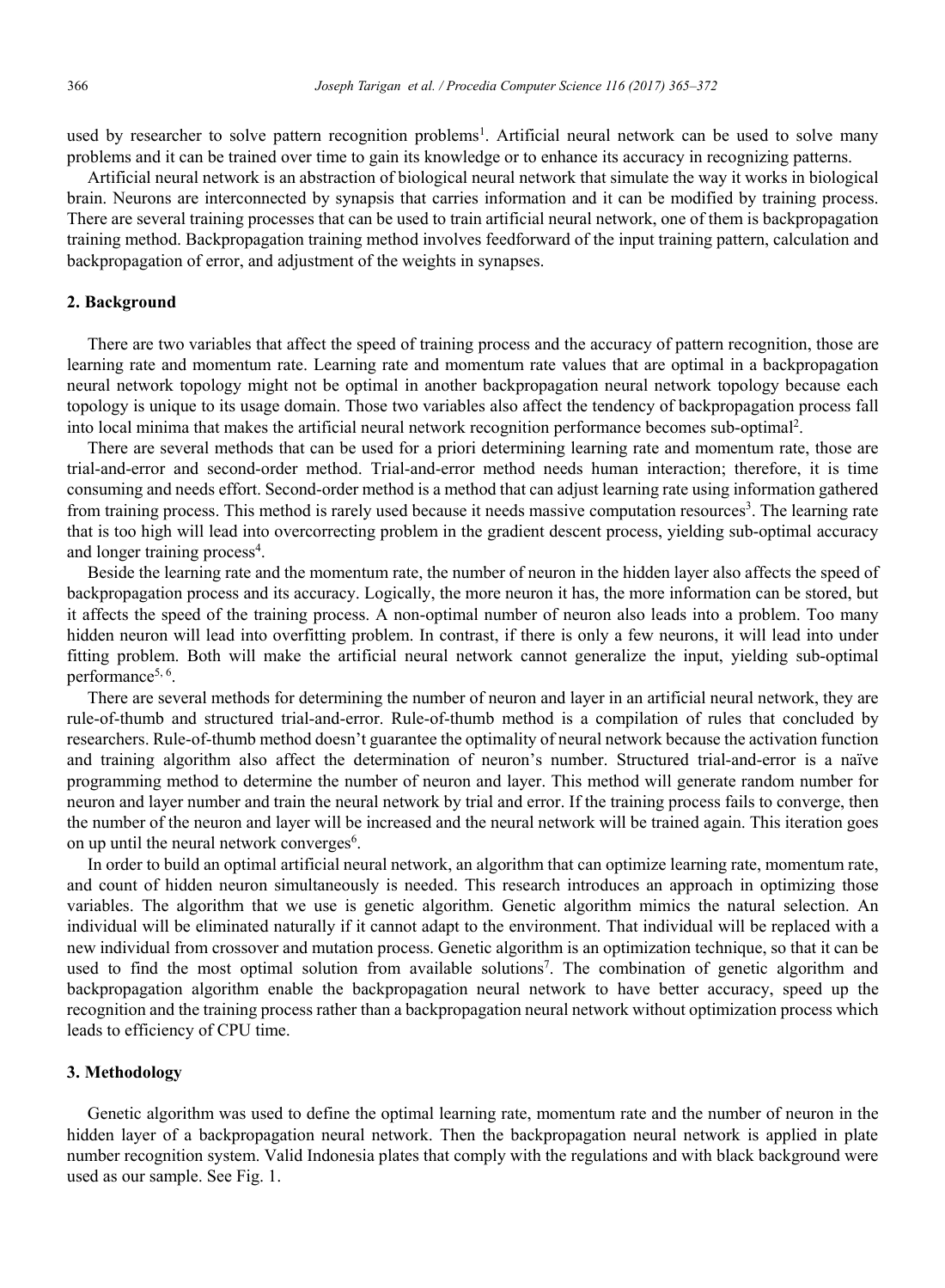used by researcher to solve pattern recognition problems<sup>1</sup>. Artificial neural network can be used to solve many problems and it can be trained over time to gain its knowledge or to enhance its accuracy in recognizing patterns.

Artificial neural network is an abstraction of biological neural network that simulate the way it works in biological brain. Neurons are interconnected by synapsis that carries information and it can be modified by training process. There are several training processes that can be used to train artificial neural network, one of them is backpropagation training method. Backpropagation training method involves feedforward of the input training pattern, calculation and backpropagation of error, and adjustment of the weights in synapses.

## **2. Background**

There are two variables that affect the speed of training process and the accuracy of pattern recognition, those are learning rate and momentum rate. Learning rate and momentum rate values that are optimal in a backpropagation neural network topology might not be optimal in another backpropagation neural network topology because each topology is unique to its usage domain. Those two variables also affect the tendency of backpropagation process fall into local minima that makes the artificial neural network recognition performance becomes sub-optimal<sup>2</sup>.

There are several methods that can be used for a priori determining learning rate and momentum rate, those are trial-and-error and second-order method. Trial-and-error method needs human interaction; therefore, it is time consuming and needs effort. Second-order method is a method that can adjust learning rate using information gathered from training process. This method is rarely used because it needs massive computation resources<sup>3</sup>. The learning rate that is too high will lead into overcorrecting problem in the gradient descent process, yielding sub-optimal accuracy and longer training process<sup>4</sup>.

Beside the learning rate and the momentum rate, the number of neuron in the hidden layer also affects the speed of backpropagation process and its accuracy. Logically, the more neuron it has, the more information can be stored, but it affects the speed of the training process. A non-optimal number of neuron also leads into a problem. Too many hidden neuron will lead into overfitting problem. In contrast, if there is only a few neurons, it will lead into under fitting problem. Both will make the artificial neural network cannot generalize the input, yielding sub-optimal performance<sup>5, 6</sup>.

There are several methods for determining the number of neuron and layer in an artificial neural network, they are rule-of-thumb and structured trial-and-error. Rule-of-thumb method is a compilation of rules that concluded by researchers. Rule-of-thumb method doesn't guarantee the optimality of neural network because the activation function and training algorithm also affect the determination of neuron's number. Structured trial-and-error is a naïve programming method to determine the number of neuron and layer. This method will generate random number for neuron and layer number and train the neural network by trial and error. If the training process fails to converge, then the number of the neuron and layer will be increased and the neural network will be trained again. This iteration goes on up until the neural network converges<sup>6</sup>.

In order to build an optimal artificial neural network, an algorithm that can optimize learning rate, momentum rate, and count of hidden neuron simultaneously is needed. This research introduces an approach in optimizing those variables. The algorithm that we use is genetic algorithm. Genetic algorithm mimics the natural selection. An individual will be eliminated naturally if it cannot adapt to the environment. That individual will be replaced with a new individual from crossover and mutation process. Genetic algorithm is an optimization technique, so that it can be used to find the most optimal solution from available solutions<sup>7</sup>. The combination of genetic algorithm and backpropagation algorithm enable the backpropagation neural network to have better accuracy, speed up the recognition and the training process rather than a backpropagation neural network without optimization process which leads to efficiency of CPU time.

#### **3. Methodology**

Genetic algorithm was used to define the optimal learning rate, momentum rate and the number of neuron in the hidden layer of a backpropagation neural network. Then the backpropagation neural network is applied in plate number recognition system. Valid Indonesia plates that comply with the regulations and with black background were used as our sample. See Fig. 1.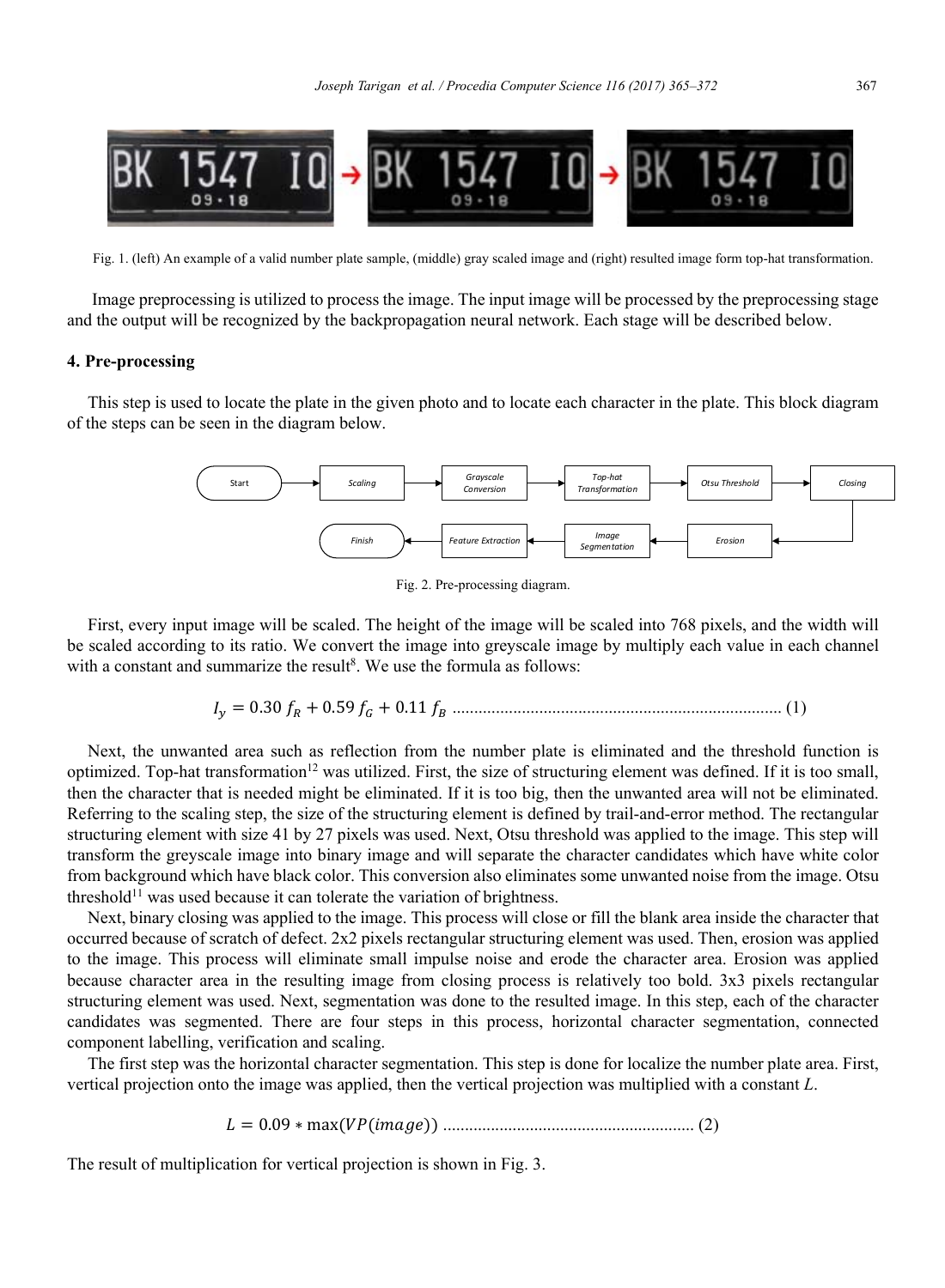

Fig. 1. (left) An example of a valid number plate sample, (middle) gray scaled image and (right) resulted image form top-hat transformation.

 Image preprocessing is utilized to process the image. The input image will be processed by the preprocessing stage and the output will be recognized by the backpropagation neural network. Each stage will be described below.

## **4. Pre-processing**

This step is used to locate the plate in the given photo and to locate each character in the plate. This block diagram of the steps can be seen in the diagram below.



Fig. 2. Pre-processing diagram.

First, every input image will be scaled. The height of the image will be scaled into 768 pixels, and the width will be scaled according to its ratio. We convert the image into greyscale image by multiply each value in each channel with a constant and summarize the result<sup>8</sup>. We use the formula as follows:

ܫ௬ ൌ ͲǤ͵Ͳ݂ோ ͲǤͷͻ݂ீ ͲǤͳͳ݂ ............................................................................ (1)

Next, the unwanted area such as reflection from the number plate is eliminated and the threshold function is optimized. Top-hat transformation<sup>12</sup> was utilized. First, the size of structuring element was defined. If it is too small, then the character that is needed might be eliminated. If it is too big, then the unwanted area will not be eliminated. Referring to the scaling step, the size of the structuring element is defined by trail-and-error method. The rectangular structuring element with size 41 by 27 pixels was used. Next, Otsu threshold was applied to the image. This step will transform the greyscale image into binary image and will separate the character candidates which have white color from background which have black color. This conversion also eliminates some unwanted noise from the image. Otsu threshold<sup>11</sup> was used because it can tolerate the variation of brightness.

Next, binary closing was applied to the image. This process will close or fill the blank area inside the character that occurred because of scratch of defect. 2x2 pixels rectangular structuring element was used. Then, erosion was applied to the image. This process will eliminate small impulse noise and erode the character area. Erosion was applied because character area in the resulting image from closing process is relatively too bold. 3x3 pixels rectangular structuring element was used. Next, segmentation was done to the resulted image. In this step, each of the character candidates was segmented. There are four steps in this process, horizontal character segmentation, connected component labelling, verification and scaling.

The first step was the horizontal character segmentation. This step is done for localize the number plate area. First, vertical projection onto the image was applied, then the vertical projection was multiplied with a constant *L*.

ܮ ൌ ͲǤͲͻ כ ሺܸܲሺ݅݉ܽ݃݁ሻሻ .......................................................... (2)

The result of multiplication for vertical projection is shown in Fig. 3.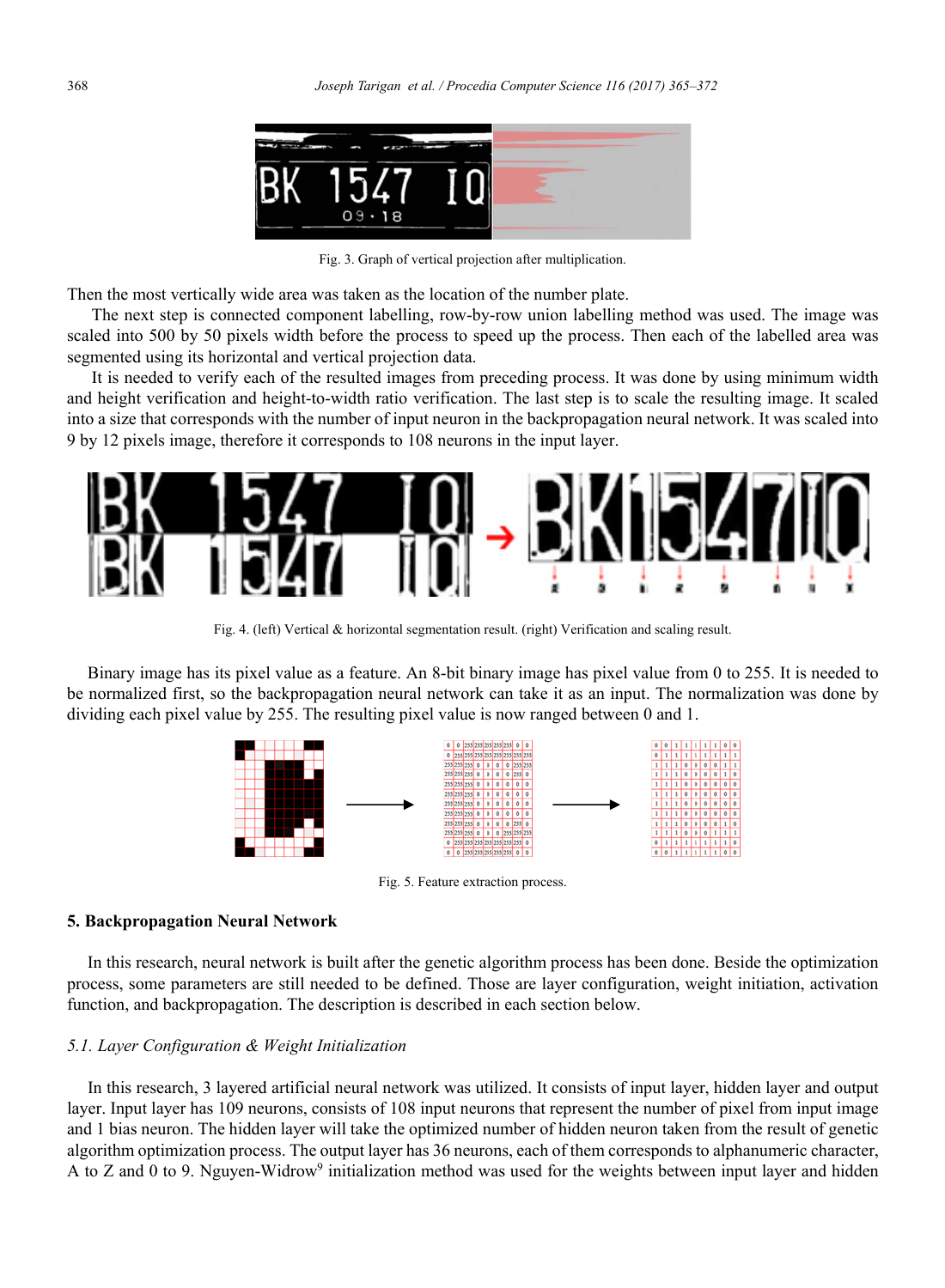

Fig. 3. Graph of vertical projection after multiplication.

Then the most vertically wide area was taken as the location of the number plate.

The next step is connected component labelling, row-by-row union labelling method was used. The image was scaled into 500 by 50 pixels width before the process to speed up the process. Then each of the labelled area was segmented using its horizontal and vertical projection data.

It is needed to verify each of the resulted images from preceding process. It was done by using minimum width and height verification and height-to-width ratio verification. The last step is to scale the resulting image. It scaled into a size that corresponds with the number of input neuron in the backpropagation neural network. It was scaled into 9 by 12 pixels image, therefore it corresponds to 108 neurons in the input layer.



Fig. 4. (left) Vertical & horizontal segmentation result. (right) Verification and scaling result.

Binary image has its pixel value as a feature. An 8-bit binary image has pixel value from 0 to 255. It is needed to be normalized first, so the backpropagation neural network can take it as an input. The normalization was done by dividing each pixel value by 255. The resulting pixel value is now ranged between 0 and 1.



Fig. 5. Feature extraction process.

## **5. Backpropagation Neural Network**

In this research, neural network is built after the genetic algorithm process has been done. Beside the optimization process, some parameters are still needed to be defined. Those are layer configuration, weight initiation, activation function, and backpropagation. The description is described in each section below.

## *5.1. Layer Configuration & Weight Initialization*

In this research, 3 layered artificial neural network was utilized. It consists of input layer, hidden layer and output layer. Input layer has 109 neurons, consists of 108 input neurons that represent the number of pixel from input image and 1 bias neuron. The hidden layer will take the optimized number of hidden neuron taken from the result of genetic algorithm optimization process. The output layer has 36 neurons, each of them corresponds to alphanumeric character, A to Z and 0 to 9. Nguyen-Widrow<sup>9</sup> initialization method was used for the weights between input layer and hidden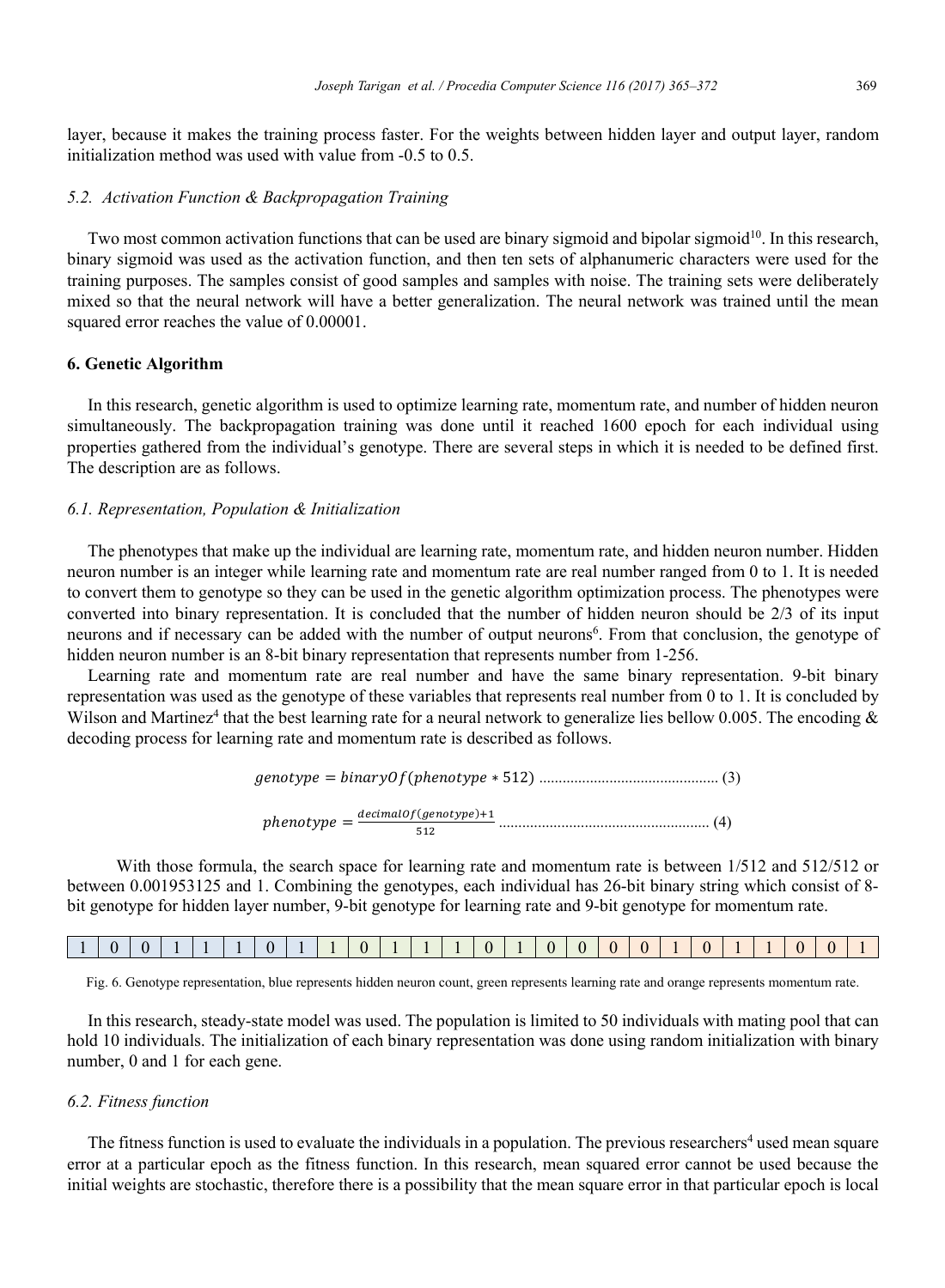layer, because it makes the training process faster. For the weights between hidden layer and output layer, random initialization method was used with value from -0.5 to 0.5.

## *5.2. Activation Function & Backpropagation Training*

Two most common activation functions that can be used are binary sigmoid and bipolar sigmoid<sup>10</sup>. In this research, binary sigmoid was used as the activation function, and then ten sets of alphanumeric characters were used for the training purposes. The samples consist of good samples and samples with noise. The training sets were deliberately mixed so that the neural network will have a better generalization. The neural network was trained until the mean squared error reaches the value of 0.00001.

#### **6. Genetic Algorithm**

In this research, genetic algorithm is used to optimize learning rate, momentum rate, and number of hidden neuron simultaneously. The backpropagation training was done until it reached 1600 epoch for each individual using properties gathered from the individual's genotype. There are several steps in which it is needed to be defined first. The description are as follows.

## *6.1. Representation, Population & Initialization*

The phenotypes that make up the individual are learning rate, momentum rate, and hidden neuron number. Hidden neuron number is an integer while learning rate and momentum rate are real number ranged from 0 to 1. It is needed to convert them to genotype so they can be used in the genetic algorithm optimization process. The phenotypes were converted into binary representation. It is concluded that the number of hidden neuron should be 2/3 of its input neurons and if necessary can be added with the number of output neurons<sup>6</sup>. From that conclusion, the genotype of hidden neuron number is an 8-bit binary representation that represents number from 1-256.

Learning rate and momentum rate are real number and have the same binary representation. 9-bit binary representation was used as the genotype of these variables that represents real number from 0 to 1. It is concluded by Wilson and Martinez<sup>4</sup> that the best learning rate for a neural network to generalize lies bellow 0.005. The encoding  $\&$ decoding process for learning rate and momentum rate is described as follows.

(3) .............................................. ሻʹͷͳ כ ݁ݕݐ݄݁݊ሺܱ݂ݕݎܾ݅݊ܽ ൌ ݁ݕݐ݃݁݊

݄݁݊ݕݐ݁ ൌ ௗைሺ௧௬ሻାଵ ହଵଶ ...................................................... (4)

With those formula, the search space for learning rate and momentum rate is between 1/512 and 512/512 or between 0.001953125 and 1. Combining the genotypes, each individual has 26-bit binary string which consist of 8 bit genotype for hidden layer number, 9-bit genotype for learning rate and 9-bit genotype for momentum rate.

|--|--|--|--|--|--|--|--|--|--|--|--|--|--|--|--|--|--|--|--|--|--|--|--|--|--|--|--|

Fig. 6. Genotype representation, blue represents hidden neuron count, green represents learning rate and orange represents momentum rate.

In this research, steady-state model was used. The population is limited to 50 individuals with mating pool that can hold 10 individuals. The initialization of each binary representation was done using random initialization with binary number, 0 and 1 for each gene.

#### *6.2. Fitness function*

The fitness function is used to evaluate the individuals in a population. The previous researchers<sup>4</sup> used mean square error at a particular epoch as the fitness function. In this research, mean squared error cannot be used because the initial weights are stochastic, therefore there is a possibility that the mean square error in that particular epoch is local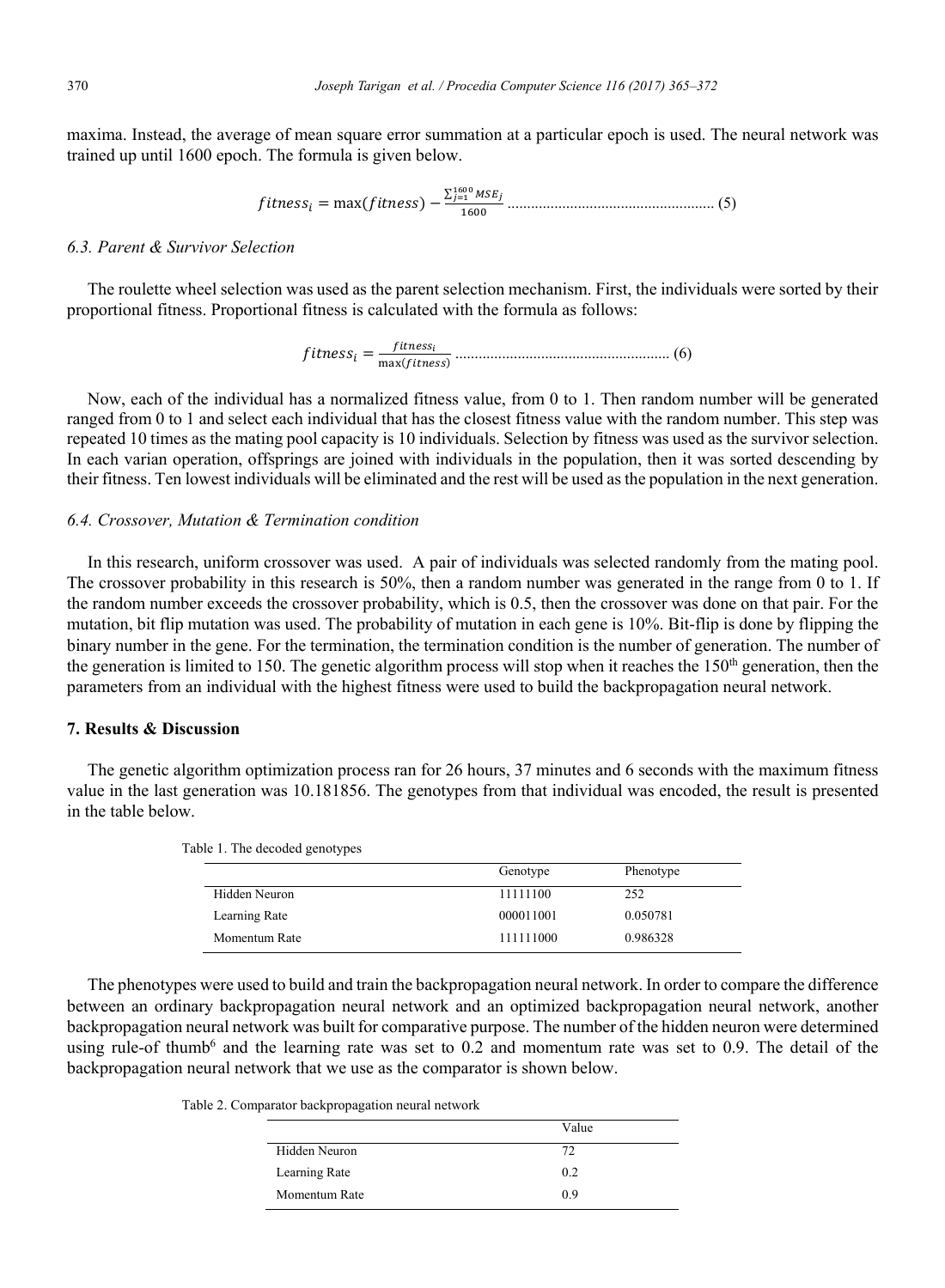maxima. Instead, the average of mean square error summation at a particular epoch is used. The neural network was trained up until 1600 epoch. The formula is given below.

�������� � ������������ � <sup>∑</sup> ���� ���� ��� ���� ..................................................... (5)

## *6.3. Parent & Survivor Selection*

The roulette wheel selection was used as the parent selection mechanism. First, the individuals were sorted by their proportional fitness. Proportional fitness is calculated with the formula as follows:

�������� � �������� ������������ ....................................................... (6)

Now, each of the individual has a normalized fitness value, from 0 to 1. Then random number will be generated ranged from 0 to 1 and select each individual that has the closest fitness value with the random number. This step was repeated 10 times as the mating pool capacity is 10 individuals. Selection by fitness was used as the survivor selection. In each varian operation, offsprings are joined with individuals in the population, then it was sorted descending by their fitness. Ten lowest individuals will be eliminated and the rest will be used as the population in the next generation.

## *6.4. Crossover, Mutation & Termination condition*

In this research, uniform crossover was used. A pair of individuals was selected randomly from the mating pool. The crossover probability in this research is 50%, then a random number was generated in the range from 0 to 1. If the random number exceeds the crossover probability, which is 0.5, then the crossover was done on that pair. For the mutation, bit flip mutation was used. The probability of mutation in each gene is 10%. Bit-flip is done by flipping the binary number in the gene. For the termination, the termination condition is the number of generation. The number of the generation is limited to 150. The genetic algorithm process will stop when it reaches the 150<sup>th</sup> generation, then the parameters from an individual with the highest fitness were used to build the backpropagation neural network.

## **7. Results & Discussion**

The genetic algorithm optimization process ran for 26 hours, 37 minutes and 6 seconds with the maximum fitness value in the last generation was 10.181856. The genotypes from that individual was encoded, the result is presented in the table below.

|               | Genotype  | Phenotype |  |
|---------------|-----------|-----------|--|
| Hidden Neuron | 11111100  | 252       |  |
| Learning Rate | 000011001 | 0.050781  |  |
| Momentum Rate | 111111000 | 0.986328  |  |

Table 1. The decoded genotypes

The phenotypes were used to build and train the backpropagation neural network. In order to compare the difference between an ordinary backpropagation neural network and an optimized backpropagation neural network, another backpropagation neural network was built for comparative purpose. The number of the hidden neuron were determined using rule-of thumb<sup>6</sup> and the learning rate was set to 0.2 and momentum rate was set to 0.9. The detail of the backpropagation neural network that we use as the comparator is shown below.

Table 2. Comparator backpropagation neural network

|               | Value |
|---------------|-------|
| Hidden Neuron | 72    |
| Learning Rate | 0.2   |
| Momentum Rate | 0.9   |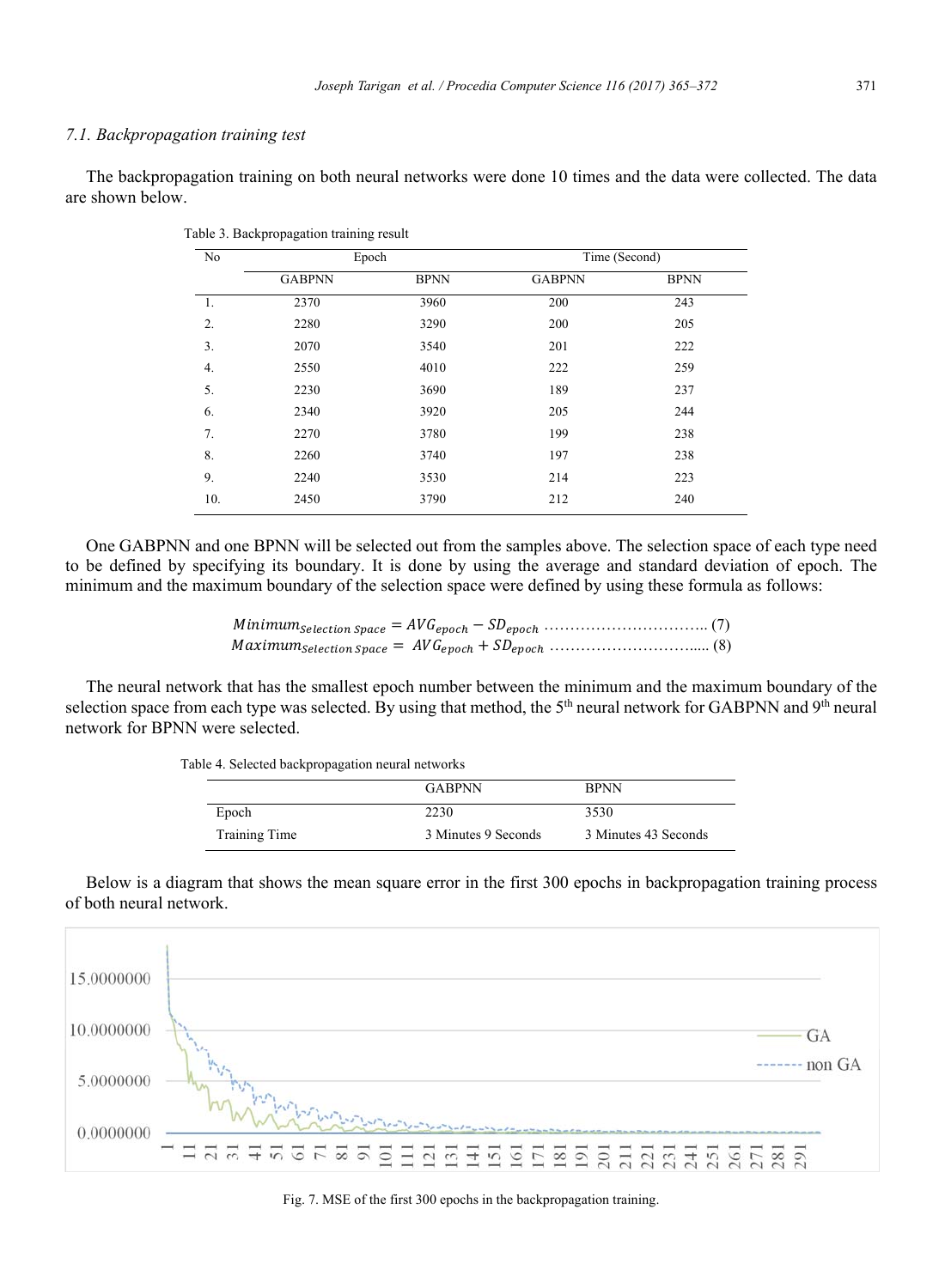#### *7.1. Backpropagation training test*

The backpropagation training on both neural networks were done 10 times and the data were collected. The data are shown below.

| No  | Epoch         |             | Time (Second) |             |
|-----|---------------|-------------|---------------|-------------|
|     | <b>GABPNN</b> | <b>BPNN</b> | <b>GABPNN</b> | <b>BPNN</b> |
| 1.  | 2370          | 3960        | 200           | 243         |
| 2.  | 2280          | 3290        | 200           | 205         |
| 3.  | 2070          | 3540        | 201           | 222         |
| 4.  | 2550          | 4010        | 222           | 259         |
| 5.  | 2230          | 3690        | 189           | 237         |
| 6.  | 2340          | 3920        | 205           | 244         |
| 7.  | 2270          | 3780        | 199           | 238         |
| 8.  | 2260          | 3740        | 197           | 238         |
| 9.  | 2240          | 3530        | 214           | 223         |
| 10. | 2450          | 3790        | 212           | 240         |

Table 3. Backpropagation training result

One GABPNN and one BPNN will be selected out from the samples above. The selection space of each type need to be defined by specifying its boundary. It is done by using the average and standard deviation of epoch. The minimum and the maximum boundary of the selection space were defined by using these formula as follows:

The neural network that has the smallest epoch number between the minimum and the maximum boundary of the selection space from each type was selected. By using that method, the  $5<sup>th</sup>$  neural network for GABPNN and  $9<sup>th</sup>$  neural network for BPNN were selected.

|               | <b>GABPNN</b>       | <b>BPNN</b>          |
|---------------|---------------------|----------------------|
| Epoch         | 2230                | 3530                 |
| Training Time | 3 Minutes 9 Seconds | 3 Minutes 43 Seconds |

Table 4. Selected backpropagation neural networks

Below is a diagram that shows the mean square error in the first 300 epochs in backpropagation training process of both neural network.